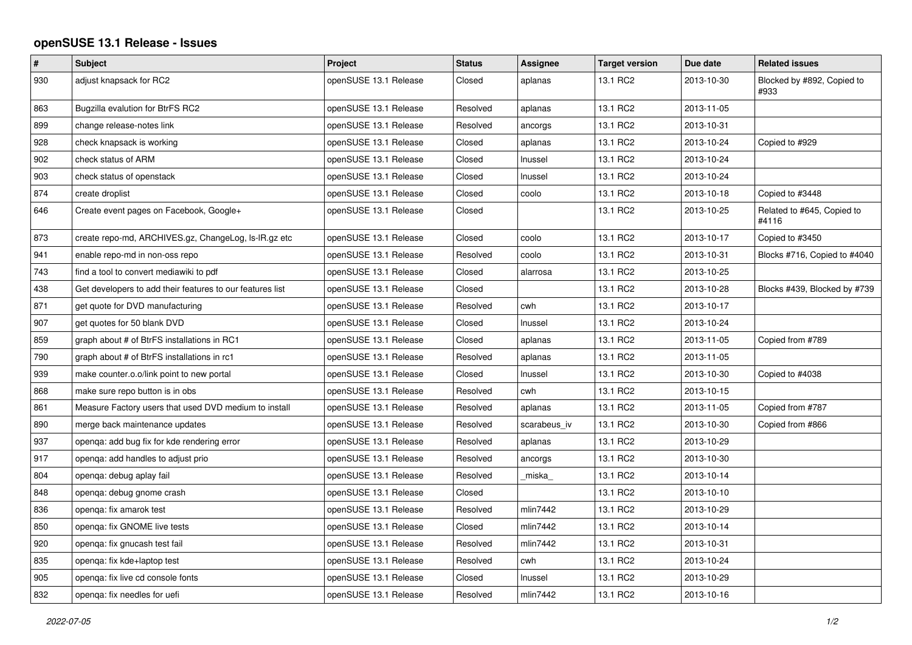## **openSUSE 13.1 Release - Issues**

| $\pmb{\#}$ | Subject                                                   | Project               | <b>Status</b> | Assignee     | <b>Target version</b> | Due date   | <b>Related issues</b>               |
|------------|-----------------------------------------------------------|-----------------------|---------------|--------------|-----------------------|------------|-------------------------------------|
| 930        | adjust knapsack for RC2                                   | openSUSE 13.1 Release | Closed        | aplanas      | 13.1 RC2              | 2013-10-30 | Blocked by #892, Copied to<br>#933  |
| 863        | Bugzilla evalution for BtrFS RC2                          | openSUSE 13.1 Release | Resolved      | aplanas      | 13.1 RC2              | 2013-11-05 |                                     |
| 899        | change release-notes link                                 | openSUSE 13.1 Release | Resolved      | ancorgs      | 13.1 RC2              | 2013-10-31 |                                     |
| 928        | check knapsack is working                                 | openSUSE 13.1 Release | Closed        | aplanas      | 13.1 RC2              | 2013-10-24 | Copied to #929                      |
| 902        | check status of ARM                                       | openSUSE 13.1 Release | Closed        | Inussel      | 13.1 RC2              | 2013-10-24 |                                     |
| 903        | check status of openstack                                 | openSUSE 13.1 Release | Closed        | Inussel      | 13.1 RC2              | 2013-10-24 |                                     |
| 874        | create droplist                                           | openSUSE 13.1 Release | Closed        | coolo        | 13.1 RC2              | 2013-10-18 | Copied to #3448                     |
| 646        | Create event pages on Facebook, Google+                   | openSUSE 13.1 Release | Closed        |              | 13.1 RC2              | 2013-10-25 | Related to #645, Copied to<br>#4116 |
| 873        | create repo-md, ARCHIVES.gz, ChangeLog, Is-IR.gz etc      | openSUSE 13.1 Release | Closed        | coolo        | 13.1 RC2              | 2013-10-17 | Copied to #3450                     |
| 941        | enable repo-md in non-oss repo                            | openSUSE 13.1 Release | Resolved      | coolo        | 13.1 RC2              | 2013-10-31 | Blocks #716, Copied to #4040        |
| 743        | find a tool to convert mediawiki to pdf                   | openSUSE 13.1 Release | Closed        | alarrosa     | 13.1 RC2              | 2013-10-25 |                                     |
| 438        | Get developers to add their features to our features list | openSUSE 13.1 Release | Closed        |              | 13.1 RC2              | 2013-10-28 | Blocks #439, Blocked by #739        |
| 871        | get quote for DVD manufacturing                           | openSUSE 13.1 Release | Resolved      | cwh          | 13.1 RC2              | 2013-10-17 |                                     |
| 907        | get quotes for 50 blank DVD                               | openSUSE 13.1 Release | Closed        | Inussel      | 13.1 RC2              | 2013-10-24 |                                     |
| 859        | graph about # of BtrFS installations in RC1               | openSUSE 13.1 Release | Closed        | aplanas      | 13.1 RC2              | 2013-11-05 | Copied from #789                    |
| 790        | graph about # of BtrFS installations in rc1               | openSUSE 13.1 Release | Resolved      | aplanas      | 13.1 RC2              | 2013-11-05 |                                     |
| 939        | make counter.o.o/link point to new portal                 | openSUSE 13.1 Release | Closed        | Inussel      | 13.1 RC2              | 2013-10-30 | Copied to #4038                     |
| 868        | make sure repo button is in obs                           | openSUSE 13.1 Release | Resolved      | cwh          | 13.1 RC2              | 2013-10-15 |                                     |
| 861        | Measure Factory users that used DVD medium to install     | openSUSE 13.1 Release | Resolved      | aplanas      | 13.1 RC2              | 2013-11-05 | Copied from #787                    |
| 890        | merge back maintenance updates                            | openSUSE 13.1 Release | Resolved      | scarabeus iv | 13.1 RC2              | 2013-10-30 | Copied from #866                    |
| 937        | openqa: add bug fix for kde rendering error               | openSUSE 13.1 Release | Resolved      | aplanas      | 13.1 RC2              | 2013-10-29 |                                     |
| 917        | openga: add handles to adjust prio                        | openSUSE 13.1 Release | Resolved      | ancorgs      | 13.1 RC2              | 2013-10-30 |                                     |
| 804        | openga: debug aplay fail                                  | openSUSE 13.1 Release | Resolved      | _miska_      | 13.1 RC2              | 2013-10-14 |                                     |
| 848        | openga: debug gnome crash                                 | openSUSE 13.1 Release | Closed        |              | 13.1 RC2              | 2013-10-10 |                                     |
| 836        | openga: fix amarok test                                   | openSUSE 13.1 Release | Resolved      | mlin7442     | 13.1 RC2              | 2013-10-29 |                                     |
| 850        | openga: fix GNOME live tests                              | openSUSE 13.1 Release | Closed        | mlin7442     | 13.1 RC2              | 2013-10-14 |                                     |
| 920        | openga: fix gnucash test fail                             | openSUSE 13.1 Release | Resolved      | mlin7442     | 13.1 RC2              | 2013-10-31 |                                     |
| 835        | openga: fix kde+laptop test                               | openSUSE 13.1 Release | Resolved      | cwh          | 13.1 RC2              | 2013-10-24 |                                     |
| 905        | openqa: fix live cd console fonts                         | openSUSE 13.1 Release | Closed        | Inussel      | 13.1 RC2              | 2013-10-29 |                                     |
| 832        | openga: fix needles for uefi                              | openSUSE 13.1 Release | Resolved      | mlin7442     | 13.1 RC2              | 2013-10-16 |                                     |